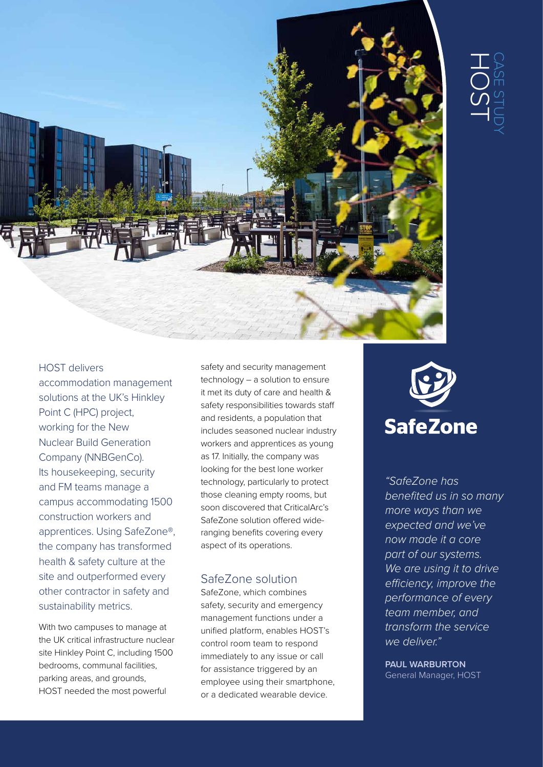

### HOST delivers

accommodation management solutions at the UK's Hinkley Point C (HPC) project, working for the New Nuclear Build Generation Company (NNBGenCo). Its housekeeping, security and FM teams manage a campus accommodating 1500 construction workers and apprentices. Using SafeZone®, the company has transformed health & safety culture at the site and outperformed every other contractor in safety and sustainability metrics.

With two campuses to manage at the UK critical infrastructure nuclear site Hinkley Point C, including 1500 bedrooms, communal facilities, parking areas, and grounds, HOST needed the most powerful

safety and security management technology – a solution to ensure it met its duty of care and health & safety responsibilities towards staff and residents, a population that includes seasoned nuclear industry workers and apprentices as young as 17. Initially, the company was looking for the best lone worker technology, particularly to protect those cleaning empty rooms, but soon discovered that CriticalArc's SafeZone solution offered wideranging benefits covering every aspect of its operations.

## SafeZone solution

SafeZone, which combines safety, security and emergency management functions under a unified platform, enables HOST's control room team to respond immediately to any issue or call for assistance triggered by an employee using their smartphone, or a dedicated wearable device.



*"SafeZone has benefited us in so many more ways than we expected and we've now made it a core part of our systems. We are using it to drive efficiency, improve the performance of every team member, and transform the service we deliver."*

**PAUL WARBURTON** General Manager, HOST